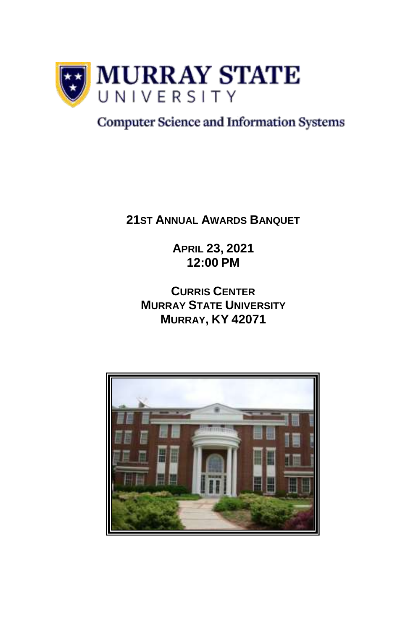

#### **Computer Science and Information Systems**

**21ST ANNUAL AWARDS BANQUET** 

**APRIL 23, 2021 12:00 PM**

**CURRIS CENTER MURRAY STATE UNIVERSITY MURRAY, KY 42071**

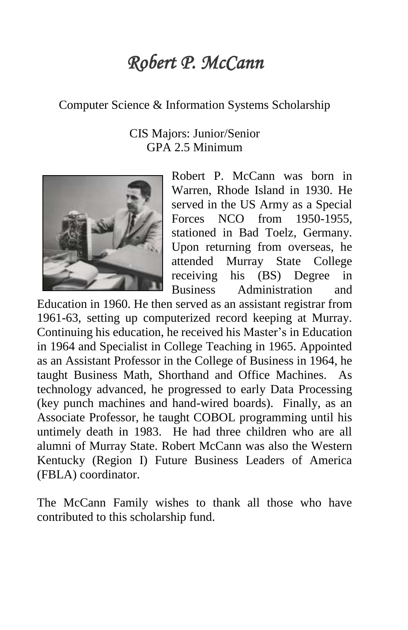# *Robert P. McCann*

#### Computer Science & Information Systems Scholarship

#### CIS Majors: Junior/Senior GPA 2.5 Minimum



Robert P. McCann was born in Warren, Rhode Island in 1930. He served in the US Army as a Special Forces NCO from 1950-1955, stationed in Bad Toelz, Germany. Upon returning from overseas, he attended Murray State College receiving his (BS) Degree in Business Administration and

Education in 1960. He then served as an assistant registrar from 1961-63, setting up computerized record keeping at Murray. Continuing his education, he received his Master's in Education in 1964 and Specialist in College Teaching in 1965. Appointed as an Assistant Professor in the College of Business in 1964, he taught Business Math, Shorthand and Office Machines. As technology advanced, he progressed to early Data Processing (key punch machines and hand-wired boards). Finally, as an Associate Professor, he taught COBOL programming until his untimely death in 1983. He had three children who are all alumni of Murray State. Robert McCann was also the Western Kentucky (Region I) Future Business Leaders of America (FBLA) coordinator.

The McCann Family wishes to thank all those who have contributed to this scholarship fund.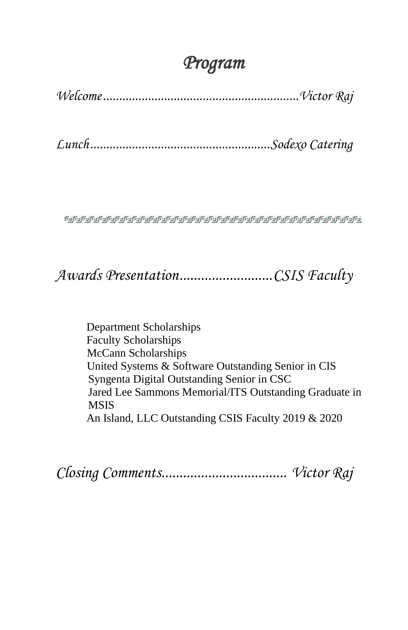## *Program*

*Welcome.............................................................Victor Raj*

*Lunch........................................................Sodexo Catering*

**๛๛๛๛๛๛๛๛๛๛๛๛๛๛๛๛๛๛๛๛๛๛๛๛๛**๛๛

## *Awards Presentation..........................CSIS Faculty*

Department Scholarships Faculty Scholarships McCann Scholarships United Systems & Software Outstanding Senior in CIS Syngenta Digital Outstanding Senior in CSC Jared Lee Sammons Memorial/ITS Outstanding Graduate in MSIS An Island, LLC Outstanding CSIS Faculty 2019 & 2020

*Closing Comments................................... Victor Raj*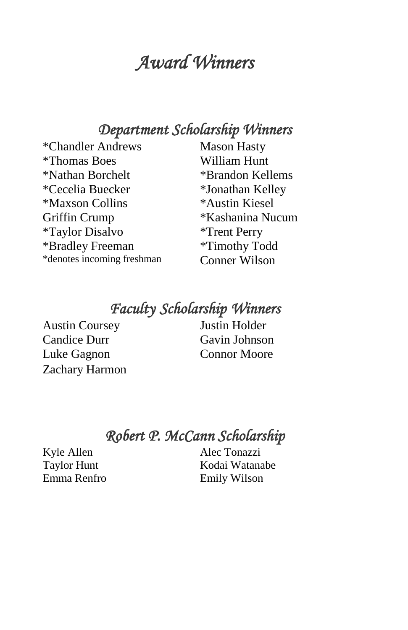## *Award Winners*

### *Department Scholarship Winners*

\*Chandler Andrews Mason Hasty \*Thomas Boes William Hunt \*Nathan Borchelt \*Cecelia Buecker \*Maxson Collins Griffin Crump \*Taylor Disalvo \*Bradley Freeman \*denotes incoming freshman

\*Brandon Kellems \*Jonathan Kelley \*Austin Kiesel \*Kashanina Nucum \*Trent Perry \*Timothy Todd Conner Wilson

## *Faculty Scholarship Winners*

Austin Coursey Candice Durr Luke Gagnon Connor Moore Zachary Harmon

Justin Holder Gavin Johnson

*Robert P. McCann Scholarship* 

Kyle Allen Taylor Hunt Emma Renfro Alec Tonazzi Kodai Watanabe Emily Wilson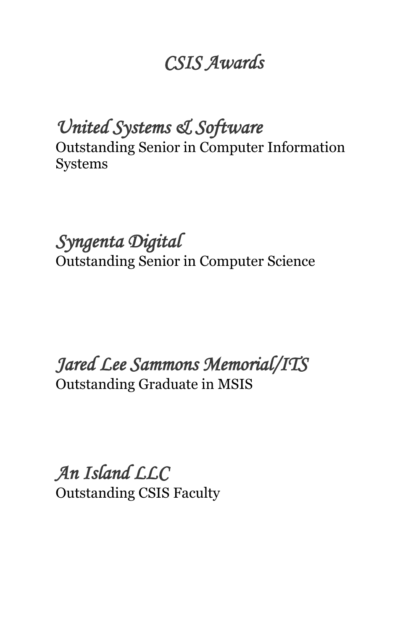# *CSIS Awards*

*United Systems & Software*  Outstanding Senior in Computer Information Systems

*Syngenta Digital*  Outstanding Senior in Computer Science

*Jared Lee Sammons Memorial/ITS*  Outstanding Graduate in MSIS

*An Island LLC*  Outstanding CSIS Faculty